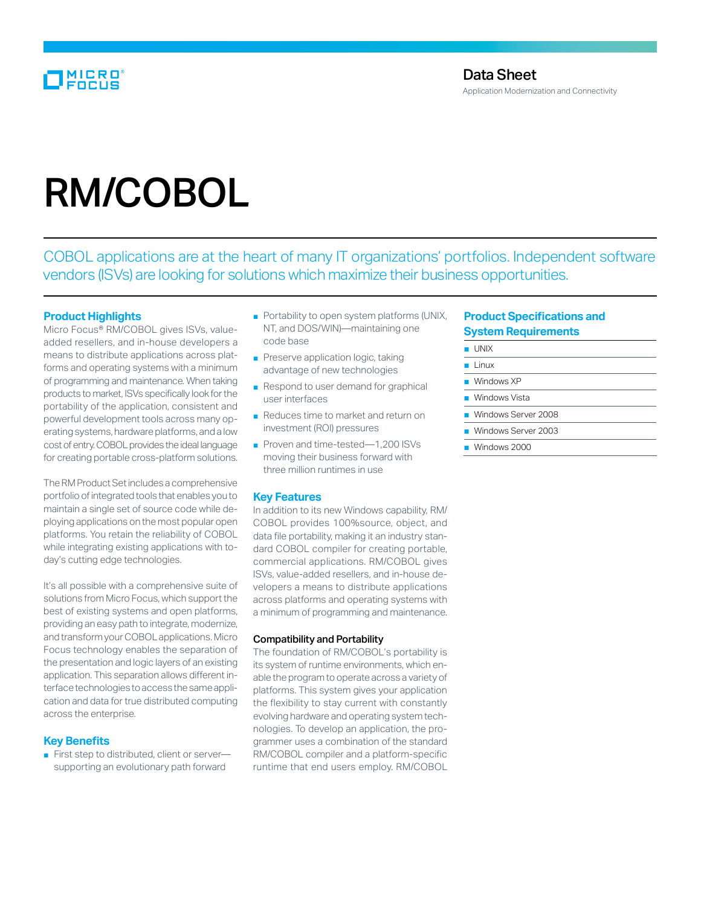# MICRO<br>FOCUS

# RM/COBOL

COBOL applications are at the heart of many IT organizations' portfolios. Independent software vendors (ISVs) are looking for solutions which maximize their business opportunities.

# **Product Highlights**

Micro Focus<sup>®</sup> RM/COBOL gives ISVs, valueadded resellers, and in-house developers a means to distribute applications across platforms and operating systems with a minimum of programming and maintenance. When taking products to market, ISVs specifically look for the portability of the application, consistent and powerful development tools across many operating systems, hardware platforms, and a low cost of entry. COBOL provides the ideal language for creating portable cross-platform solutions.

The RM Product Set includes a comprehensive portfolio of integrated tools that enables you to maintain a single set of source code while deploying applications on the most popular open platforms. You retain the reliability of COBOL while integrating existing applications with today's cutting edge technologies.

It's all possible with a comprehensive suite of solutions from Micro Focus, which support the best of existing systems and open platforms, providing an easy path to integrate, modernize, and transform your COBOL applications. Micro Focus technology enables the separation of the presentation and logic layers of an existing application. This separation allows different interface technologies to access the same application and data for true distributed computing across the enterprise.

#### **Key Benefits**

■ First step to distributed, client or server supporting an evolutionary path forward

- Portability to open system platforms (UNIX, NT, and DOS/WIN)—maintaining one code base
- Preserve application logic, taking advantage of new technologies
- Respond to user demand for graphical user interfaces
- Reduces time to market and return on investment (ROI) pressures
- Proven and time-tested—1,200 ISVs moving their business forward with three million runtimes in use

#### **Key Features**

In addition to its new Windows capability, RM/ COBOL provides 100%source, object, and data file portability, making it an industry standard COBOL compiler for creating portable, commercial applications. RM/COBOL gives ISVs, value-added resellers, and in-house developers a means to distribute applications across platforms and operating systems with a minimum of programming and maintenance.

#### Compatibility and Portability

The foundation of RM/COBOL's portability is its system of runtime environments, which enable the program to operate across a variety of platforms. This system gives your application the flexibility to stay current with constantly evolving hardware and operating system technologies. To develop an application, the programmer uses a combination of the standard RM/COBOL compiler and a platform-specific runtime that end users employ. RM/COBOL

# **Product Specifications and System Requirements**

- UNIX
- Linux
- Windows XP
- Windows Vista
- Windows Server 2008
- 
- Windows Server 2003
- Windows 2000